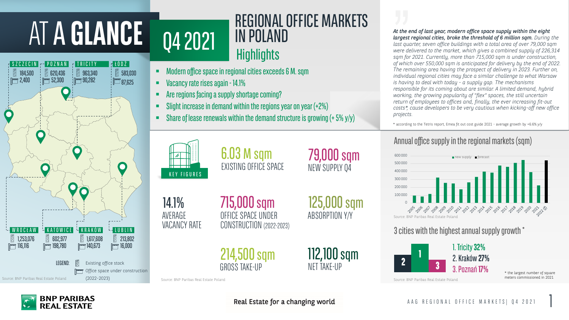#### 1 AAG REGIONAL OFFICE MARKETS | Q4 2021

IN POLAND<br>*At the end of last year, modern office space supply within the eight*<br>*last quarter, seven office buildings with a total area of over 79,000 sq largest regional cities, broke the threshold of 6 million sqm. During the last quarter, seven office buildings with a total area of over 79,000 sqm were delivered to the market, which gives a combined supply of 226,314 sqm for 2021. Currently, more than 715,000 sqm is under construction, of which over 550,000 sqm is anticipated for delivery by the end of 2022. The remaining area having the prospect of delivery in 2023. Further on, individual regional cities may face a similar challenge to what Warsaw is having to deal with today - a supply gap. The mechanisms responsible for its coming about are similar. A limited demand, hybrid working, the growing popularity of "flex" spaces, the still uncertain return of employees to offices and, finally, the ever increasing fit-out costs\*, cause developers to be very cautious when kicking-off new office projects.*

# ATA **GLANCE** Q4 2021

- **Nacancy rate rises again 14.1%**
- **EXECTE:** Are regions facing a supply shortage coming?
- Slight increase in demand within the regions year on year (+2%)
- Share of lease renewals within the demand structure is growing (+ 5% y/y)

#### 3 cities with the highest annual supplygrowth \*

715,000 sqm OFFICE SPACE UNDER CONSTRUCTION (2022-2023)

> 112,100 sqm NET TAKE-UP





79,000 sqm NEW SUPPLY Q4

125,000 sqm ABSORPTION Y/Y

6.03 M sqm EXISTING OFFICE SPACE

> **1 2 3** 1. Tricity**32%** 2. Kraków **27%** 3. Poznań **17%**

14.1% AVERAGE VACANCY RATE

> 214,500 sqm GROSS TAKE-UP

\* the largest number of square

TRICITY

 $\frac{1}{2}$  90,282

POZNAN.

调 620,436  $\frac{1}{1}$   $\frac{1}{1}$  52,300

<u>SZCZECIN</u>

963,340

ŁÓDŹ

583,030

 $\sqrt{25}87,625$ 



## REGIONAL OFFICE MARKETS<br>IN POLAND **Highlights**



**BNP PARIBAS REAL ESTATE** 

Real Estate for a changing world

184,500

 $F = 2,400$ 

 $\frac{1}{2}$ 



\* according to the Tetris report, Emea fit out cost guide 2021 - average growth by +6.6% y/y

## Annual office supply in the regional markets (sqm)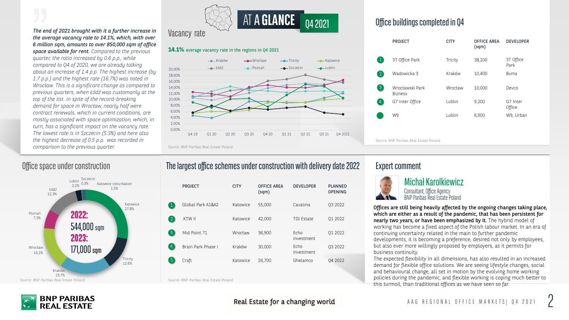#### Lublin Szczecin 2,2%





The end of 2021 brought with it a further increase in **Vacancy rate**<br>the everges vecessy rate to 14.1% which with ever **Vacancy rate** *the average vacancy rate to 14.1%, which, with over 6 million sqm, amounts to over 850,000 sqm of office space available for rent. Compared to the previous quarter, the ratio increased by 0.6 p.p., while compared to Q4 of 2020, we are already talking about an increase of 1.4 p.p. The highest increase (by 1.7 p.p.) and the highest rate (16.7%) was noted in Wrocław. This is a significant change as compared to previous quarters, when Łódź was customarily at the top of the list. In spite of the record-breaking demand for space in Wrocław, nearly half were contract renewals, which in current conditions, are mostly associated with space optimization, which, in turn, has a significant impact on the vacancy rate. The lowest rate is in Szczecin (5.3%) and here also the highest decrease of 0.5 p.p. was recorded in comparison to the previous quarter.*

> Consultant, Office Agency BNP Paribas Real Estate Poland



### Office space under construction **Expert Comment** The largest office schemes under construction with delivery date 2022 Expert comment

Offices are still being heavily affected by the ongoing changes taking place, which are either as a result of the pandemic, that has been persistent for nearly two years, or have been emphasized by it. The hybrid model of working has become a fixed aspect of the Polish labour market. In an era of continuing uncertainty related in the main to further pandemic developments, it is becoming a preference, desired not only by employees, but also ever more willingly proposed by employers, as it permits for business continuity.

The expected flexibility in all dimensions, has also resulted in an increased demand for flexible office solutions. We are seeing lifestyle changes, social and behavioural change, all set in motion by the evolving home working policies during the pandemic, and flexible working is coping much better to this turmoil, than traditional offices as we have seen so far.

#### **14.1%** average vacancy rate in the regions in Q4 2021

|                   | <b>PROJECT</b>     | <b>CITY</b> | <b>OFFICE AREA</b><br>(sqm) | <b>DEVELOPER</b>   | <b>PLANNED</b><br><b>OPENING</b> |
|-------------------|--------------------|-------------|-----------------------------|--------------------|----------------------------------|
|                   | Global Park A1&A2  | Katowice    | 55,000                      | Cavatina           | Q3 2022                          |
| $\vert 2 \vert$   | KTW II             | Katowice    | 42,000                      | TDJ Estate         | Q1 2022                          |
| $\lceil 3 \rceil$ | Mid Point 71       | Wrocław     | 36,900                      | Echo<br>Investment | Q1 2022                          |
| $\vert 4 \vert$   | Brain Park Phase I | Kraków      | 30,000                      | Echo<br>Investment | Q3 2022                          |
| 5                 | Craft              | Katowice    | 26,700                      | Ghelamco           | Q4 2022                          |

Source: BNP Paribas Real Estate Poland



Real Estate for a changing world

### Office buildings completed in Q4

|      |                        | <b>PROJECT</b>                         | <b>CITY</b> | <b>OFFICE AREA</b><br>(sqm) | <b>DEVELOPER</b>   |  |
|------|------------------------|----------------------------------------|-------------|-----------------------------|--------------------|--|
|      |                        | 3T Office Park                         | Tricity     | 38,200                      | 3T Office<br>Park  |  |
|      | $\left 2\right\rangle$ | Wadowicka 3                            | Kraków      | 10,400                      | <b>Buma</b>        |  |
|      | $\left 3\right\rangle$ | Wrocławski Park<br>Biznesu             | Wrocław     | 10,000                      | Devco              |  |
|      | $\vert 4 \vert$        | G7 Inter Office                        | Lublin      | 9,200                       | G7 Inter<br>Office |  |
|      |                        | W9                                     | Lublin      | 6,900                       | W9, Urban          |  |
| 2021 |                        |                                        |             |                             |                    |  |
|      |                        | Source: BNP Paribas Real Estate Poland |             |                             |                    |  |

## **NG**

- 
- 
- 
- 



Michał Karolkiewicz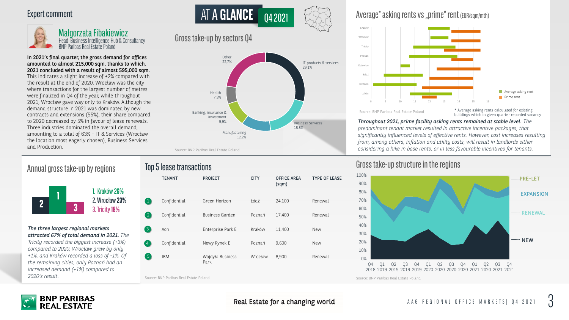ATA **GLANCE**



Annual gross take-up by regions **Forms** Gross take-up structure in the regions and the regions of the regions of the regions of the regions of the regions of the regions of the regions of the regions of the regions of the

In 2021's final quarter, the gross demand for offices amounted to almost 215,000 sqm, thanks to which, 2021 concluded with a result of almost 595,000 sqm. This indicates a slight increase of +2% compared with the result at the end of 2020. Wrocław was the city where transactions for the largest number of metres were finalized in Q4 of the year, while throughout 2021, Wrocław gave way only to Kraków. Although the demand structure in 2021 was dominated by new contracts and extensions (55%), their share compared to 2020 decreased by 5% in favour of lease renewals. Three industries dominated the overall demand, amounting to a total of 63% - IT & Services (Wrocław the location most eagerly chosen), Business Services and Production.

### Gross take-up by sectors Q4

*The three largest regional markets attracted 67% of total demand in 2021. The Tricity recorded the biggest increase (+3%) compared to 2020, Wrocław grew by only +1%, and Kraków recorded a loss of -1%. Of the remaining cities, only Poznań had an increased demand (+1%) compared to 2020's result.*

|                 | <b>TENANT</b> | <b>PROJECT</b>           | <b>CITY</b> | <b>OFFICE AREA</b><br>(sqm) | <b>TYPE OF LEASE</b> |
|-----------------|---------------|--------------------------|-------------|-----------------------------|----------------------|
|                 |               |                          |             |                             |                      |
|                 | Confidential  | Green Horizon            | Łódź        | 24,100                      | Renewal              |
| $\overline{2}$  | Confidential  | <b>Business Garden</b>   | Poznań      | 17,400                      | Renewal              |
| $\sqrt{3}$      | Aon           | Enterprise Park E        | Kraków      | 11,400                      | <b>New</b>           |
| $\overline{4}$  | Confidential  | Nowy Rynek E             | Poznań      | 9,600                       | <b>New</b>           |
| $\vert 5 \vert$ | <b>IBM</b>    | Wojdyła Business<br>Park | Wrocław     | 8,900                       | Renewal              |
|                 |               |                          |             |                             |                      |

Top 5 lease transactions



Real Estate for a changing world

#### Average\* asking rents vs "prime" rent (EUR/sqm/mth)

**1 2 3** 1. Kraków **26%** 2. Wrocław **23%** 3. Tricity**18%**

*Throughout 2021, prime facility asking rents remained at stable level. The predominant tenant market resulted in attractive incentive packages, that significantly influenced levels of effective rents. However, cost increases resulting from, among others, inflation and utility costs, will result in landlords either considering a hike in base rents, or in less favourable incentives for tenants.*

*.*

Source: BNP Paribas Real Estate Poland Source: BNP Paribas Real Estate Poland

buildings which in given quarter recorded vacancy

Q4 2021

#### Expert comment



Małgorzata Fibakiewicz Head Business Intelligence Hub & Consultancy BNP Paribas Real Estate Poland





Source: BNP Paribas Real Estate Poland